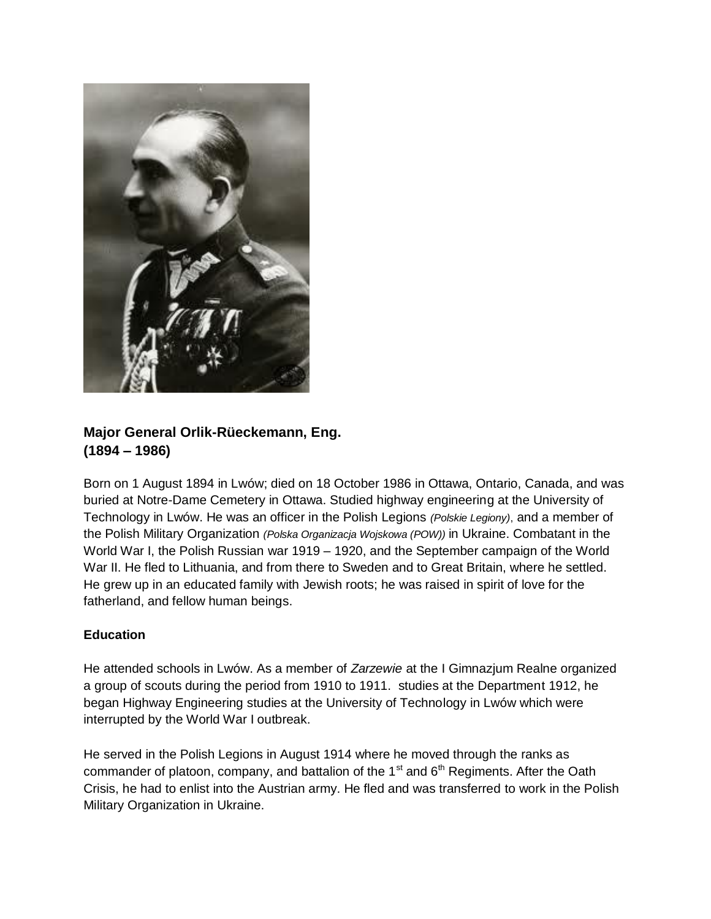

# **Major General Orlik-Rüeckemann, Eng. (1894 – 1986)**

Born on 1 August 1894 in Lwów; died on 18 October 1986 in Ottawa, Ontario, Canada, and was buried at Notre-Dame Cemetery in Ottawa. Studied highway engineering at the University of Technology in Lwów. He was an officer in the Polish Legions *(Polskie Legiony)*, and a member of the Polish Military Organization *(Polska Organizacja Wojskowa (POW))* in Ukraine. Combatant in the World War I, the Polish Russian war 1919 – 1920, and the September campaign of the World War II. He fled to Lithuania, and from there to Sweden and to Great Britain, where he settled. He grew up in an educated family with Jewish roots; he was raised in spirit of love for the fatherland, and fellow human beings.

# **Education**

He attended schools in Lwów. As a member of *Zarzewie* at the I Gimnazjum Realne organized a group of scouts during the period from 1910 to 1911. studies at the Department 1912, he began Highway Engineering studies at the University of Technology in Lwów which were interrupted by the World War I outbreak.

He served in the Polish Legions in August 1914 where he moved through the ranks as commander of platoon, company, and battalion of the 1 $s$ <sup>t</sup> and  $6<sup>th</sup>$  Regiments. After the Oath Crisis, he had to enlist into the Austrian army. He fled and was transferred to work in the Polish Military Organization in Ukraine.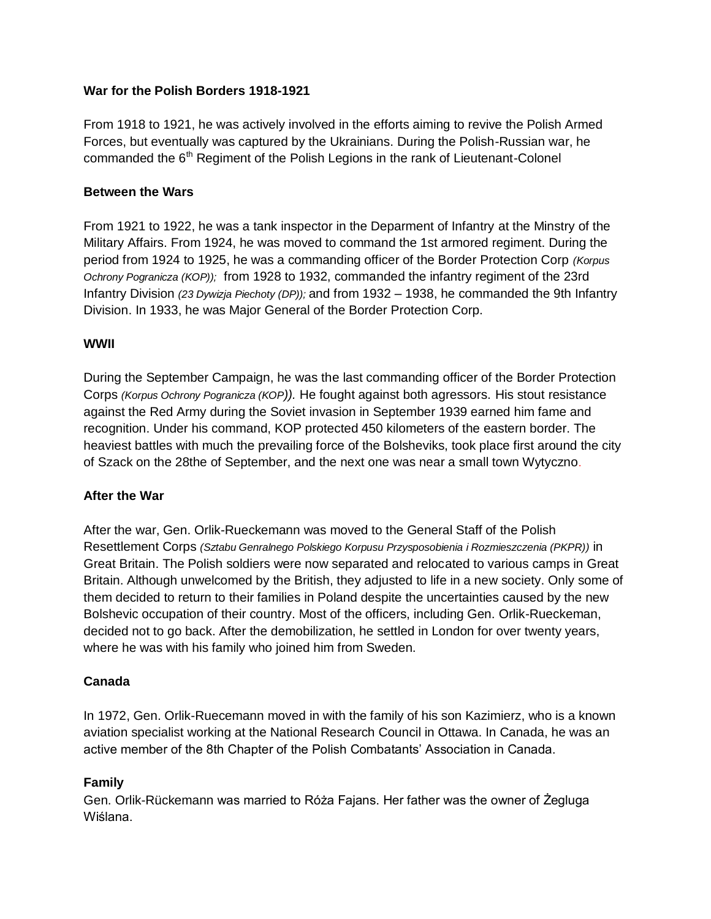## **War for the Polish Borders 1918-1921**

From 1918 to 1921, he was actively involved in the efforts aiming to revive the Polish Armed Forces, but eventually was captured by the Ukrainians. During the Polish-Russian war, he commanded the  $6<sup>th</sup>$  Regiment of the Polish Legions in the rank of Lieutenant-Colonel

### **Between the Wars**

From 1921 to 1922, he was a tank inspector in the Deparment of Infantry at the Minstry of the Military Affairs. From 1924, he was moved to command the 1st armored regiment. During the period from 1924 to 1925, he was a commanding officer of the Border Protection Corp *(Korpus Ochrony Pogranicza (KOP));* from 1928 to 1932, commanded the infantry regiment of the 23rd Infantry Division *(23 Dywizja Piechoty (DP));* and from 1932 – 1938, he commanded the 9th Infantry Division. In 1933, he was Major General of the Border Protection Corp.

## **WWII**

During the September Campaign, he was the last commanding officer of the Border Protection Corps *(Korpus Ochrony Pogranicza (KOP)).* He fought against both agressors. His stout resistance against the Red Army during the Soviet invasion in September 1939 earned him fame and recognition. Under his command, KOP protected 450 kilometers of the eastern border. The heaviest battles with much the prevailing force of the Bolsheviks, took place first around the city of Szack on the 28the of September, and the next one was near a small town Wytyczno.

#### **After the War**

After the war, Gen. Orlik-Rueckemann was moved to the General Staff of the Polish Resettlement Corps *(Sztabu Genralnego Polskiego Korpusu Przysposobienia i Rozmieszczenia (PKPR))* in Great Britain. The Polish soldiers were now separated and relocated to various camps in Great Britain. Although unwelcomed by the British, they adjusted to life in a new society. Only some of them decided to return to their families in Poland despite the uncertainties caused by the new Bolshevic occupation of their country. Most of the officers, including Gen. Orlik-Rueckeman, decided not to go back. After the demobilization, he settled in London for over twenty years, where he was with his family who joined him from Sweden.

#### **Canada**

In 1972, Gen. Orlik-Ruecemann moved in with the family of his son Kazimierz, who is a known aviation specialist working at the National Research Council in Ottawa. In Canada, he was an active member of the 8th Chapter of the Polish Combatants' Association in Canada.

# **Family**

Gen. Orlik-Rückemann was married to Róża Fajans. Her father was the owner of Żegluga Wiślana.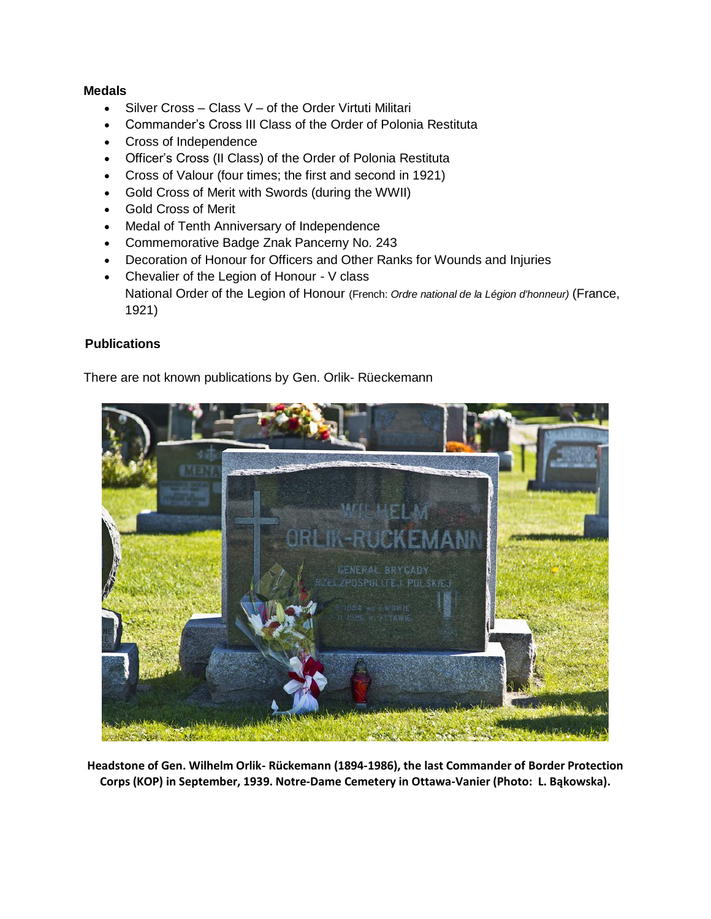## **Medals**

- Silver Cross Class V of the Order Virtuti Militari
- Commander's Cross III Class of the Order of Polonia Restituta
- Cross of Independence
- Officer's Cross (II Class) of the Order of Polonia Restituta
- Cross of Valour (four times; the first and second in 1921)
- Gold Cross of Merit with Swords (during the WWII)
- Gold Cross of Merit
- Medal of Tenth Anniversary of Independence
- Commemorative Badge Znak Pancerny No. 243
- Decoration of Honour for Officers and Other Ranks for Wounds and Injuries
- Chevalier of the Legion of Honour V class National Order of the Legion of Honour (French: *Ordre national de la Légion d'honneur)* (France, 1921)

# **Publications**

There are not known publications by Gen. Orlik- Rüeckemann



**Headstone of Gen. Wilhelm Orlik- Rückemann (1894-1986), the last Commander of Border Protection Corps (KOP) in September, 1939. Notre-Dame Cemetery in Ottawa-Vanier (Photo: L. Bąkowska).**